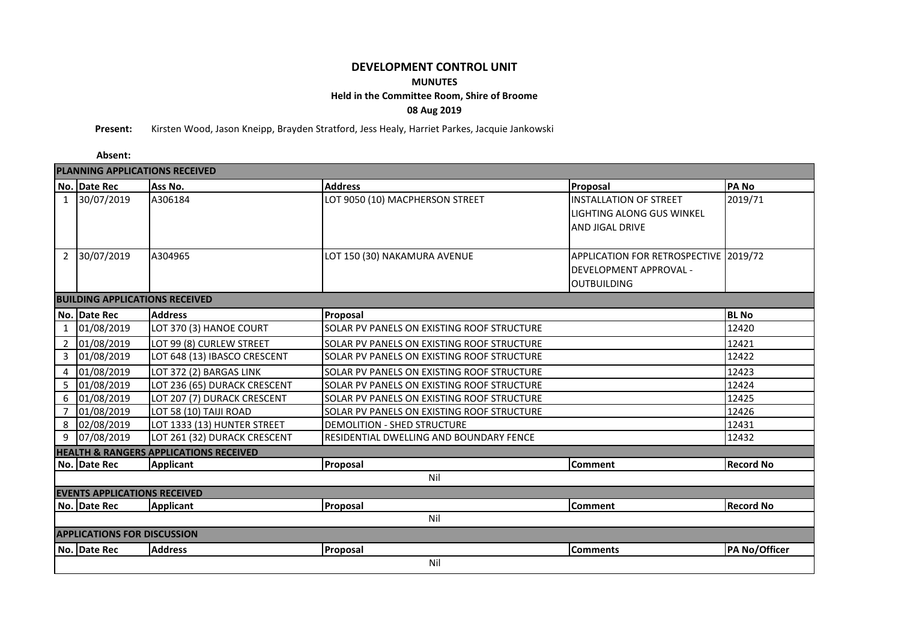## **DEVELOPMENT CONTROL UNIT MUNUTES Held in the Committee Room, Shire of Broome 08 Aug 2019**

**Present:** Kirsten Wood, Jason Kneipp, Brayden Stratford, Jess Healy, Harriet Parkes, Jacquie Jankowski

**Absent:**

| <b>PLANNING APPLICATIONS RECEIVED</b>             |              |                              |                                            |                                       |                  |  |  |  |  |  |  |  |
|---------------------------------------------------|--------------|------------------------------|--------------------------------------------|---------------------------------------|------------------|--|--|--|--|--|--|--|
|                                                   | No. Date Rec | Ass No.                      | <b>Address</b>                             | Proposal                              | <b>PANO</b>      |  |  |  |  |  |  |  |
|                                                   | 1 30/07/2019 | A306184                      | LOT 9050 (10) MACPHERSON STREET            | <b>INSTALLATION OF STREET</b>         | 2019/71          |  |  |  |  |  |  |  |
|                                                   |              |                              |                                            | <b>LIGHTING ALONG GUS WINKEL</b>      |                  |  |  |  |  |  |  |  |
|                                                   |              |                              |                                            | <b>AND JIGAL DRIVE</b>                |                  |  |  |  |  |  |  |  |
|                                                   |              |                              |                                            |                                       |                  |  |  |  |  |  |  |  |
| $\overline{2}$                                    | 30/07/2019   | A304965                      | LOT 150 (30) NAKAMURA AVENUE               | APPLICATION FOR RETROSPECTIVE 2019/72 |                  |  |  |  |  |  |  |  |
|                                                   |              |                              |                                            | DEVELOPMENT APPROVAL -                |                  |  |  |  |  |  |  |  |
|                                                   |              |                              |                                            | <b>OUTBUILDING</b>                    |                  |  |  |  |  |  |  |  |
| <b>BUILDING APPLICATIONS RECEIVED</b>             |              |                              |                                            |                                       |                  |  |  |  |  |  |  |  |
|                                                   | No. Date Rec | <b>Address</b>               | Proposal                                   |                                       | <b>BL</b> No     |  |  |  |  |  |  |  |
| $\mathbf{1}$                                      | 01/08/2019   | LOT 370 (3) HANOE COURT      | SOLAR PV PANELS ON EXISTING ROOF STRUCTURE |                                       | 12420            |  |  |  |  |  |  |  |
|                                                   | 2 01/08/2019 | LOT 99 (8) CURLEW STREET     | SOLAR PV PANELS ON EXISTING ROOF STRUCTURE |                                       | 12421            |  |  |  |  |  |  |  |
| $\mathbf{3}$                                      | 01/08/2019   | LOT 648 (13) IBASCO CRESCENT | SOLAR PV PANELS ON EXISTING ROOF STRUCTURE |                                       | 12422            |  |  |  |  |  |  |  |
| 4                                                 | 01/08/2019   | LOT 372 (2) BARGAS LINK      | SOLAR PV PANELS ON EXISTING ROOF STRUCTURE |                                       | 12423            |  |  |  |  |  |  |  |
| 5                                                 | 01/08/2019   | LOT 236 (65) DURACK CRESCENT | SOLAR PV PANELS ON EXISTING ROOF STRUCTURE |                                       | 12424            |  |  |  |  |  |  |  |
| 6                                                 | 01/08/2019   | LOT 207 (7) DURACK CRESCENT  | SOLAR PV PANELS ON EXISTING ROOF STRUCTURE |                                       | 12425            |  |  |  |  |  |  |  |
| $\overline{7}$                                    | 01/08/2019   | LOT 58 (10) TAIJI ROAD       | SOLAR PV PANELS ON EXISTING ROOF STRUCTURE |                                       | 12426            |  |  |  |  |  |  |  |
| 8                                                 | 02/08/2019   | LOT 1333 (13) HUNTER STREET  | DEMOLITION - SHED STRUCTURE                |                                       | 12431            |  |  |  |  |  |  |  |
| 9                                                 | 07/08/2019   | LOT 261 (32) DURACK CRESCENT | RESIDENTIAL DWELLING AND BOUNDARY FENCE    |                                       | 12432            |  |  |  |  |  |  |  |
| <b>HEALTH &amp; RANGERS APPLICATIONS RECEIVED</b> |              |                              |                                            |                                       |                  |  |  |  |  |  |  |  |
|                                                   | No. Date Rec | <b>Applicant</b>             | Proposal                                   | Comment                               | <b>Record No</b> |  |  |  |  |  |  |  |
| Nil                                               |              |                              |                                            |                                       |                  |  |  |  |  |  |  |  |
| <b>EVENTS APPLICATIONS RECEIVED</b>               |              |                              |                                            |                                       |                  |  |  |  |  |  |  |  |
|                                                   | No. Date Rec | <b>Applicant</b>             | Proposal                                   | <b>Comment</b>                        | <b>Record No</b> |  |  |  |  |  |  |  |
| Nil                                               |              |                              |                                            |                                       |                  |  |  |  |  |  |  |  |
| <b>APPLICATIONS FOR DISCUSSION</b>                |              |                              |                                            |                                       |                  |  |  |  |  |  |  |  |
|                                                   | No. Date Rec | <b>Address</b>               | Proposal                                   | <b>Comments</b>                       | PA No/Officer    |  |  |  |  |  |  |  |
|                                                   | Nil          |                              |                                            |                                       |                  |  |  |  |  |  |  |  |